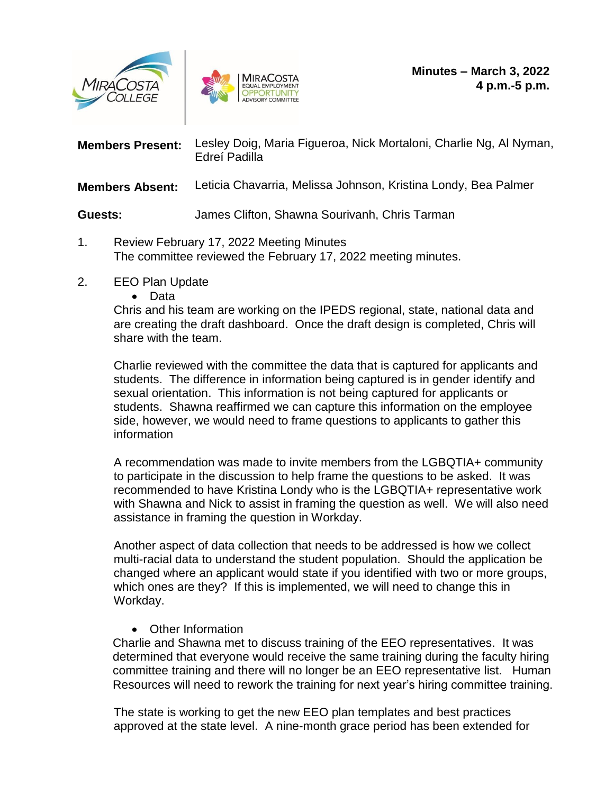



| <b>Members Present:</b> | Lesley Doig, Maria Figueroa, Nick Mortaloni, Charlie Ng, Al Nyman,<br>Edreí Padilla |
|-------------------------|-------------------------------------------------------------------------------------|
| <b>Members Absent:</b>  | Leticia Chavarria, Melissa Johnson, Kristina Londy, Bea Palmer                      |
| Guests:                 | James Clifton, Shawna Sourivanh, Chris Tarman                                       |
|                         |                                                                                     |

- 1. Review February 17, 2022 Meeting Minutes The committee reviewed the February 17, 2022 meeting minutes.
- 2. EEO Plan Update
	- Data

Chris and his team are working on the IPEDS regional, state, national data and are creating the draft dashboard. Once the draft design is completed, Chris will share with the team.

Charlie reviewed with the committee the data that is captured for applicants and students. The difference in information being captured is in gender identify and sexual orientation. This information is not being captured for applicants or students. Shawna reaffirmed we can capture this information on the employee side, however, we would need to frame questions to applicants to gather this information

A recommendation was made to invite members from the LGBQTIA+ community to participate in the discussion to help frame the questions to be asked. It was recommended to have Kristina Londy who is the LGBQTIA+ representative work with Shawna and Nick to assist in framing the question as well. We will also need assistance in framing the question in Workday.

Another aspect of data collection that needs to be addressed is how we collect multi-racial data to understand the student population. Should the application be changed where an applicant would state if you identified with two or more groups, which ones are they? If this is implemented, we will need to change this in Workday.

• Other Information

Charlie and Shawna met to discuss training of the EEO representatives. It was determined that everyone would receive the same training during the faculty hiring committee training and there will no longer be an EEO representative list. Human Resources will need to rework the training for next year's hiring committee training.

The state is working to get the new EEO plan templates and best practices approved at the state level. A nine-month grace period has been extended for